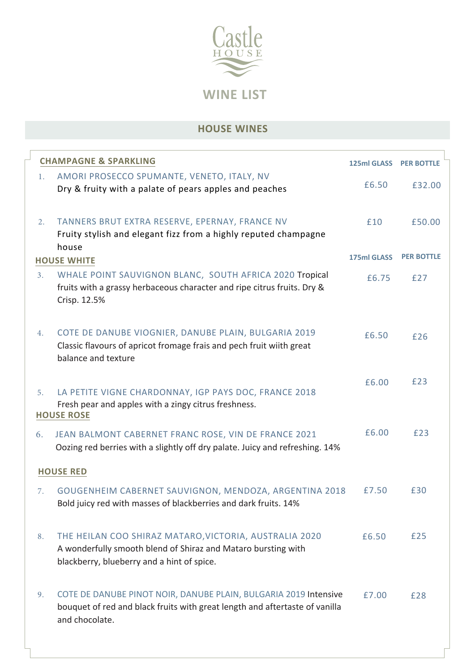

# **HOUSE WINES**

| <b>CHAMPAGNE &amp; SPARKLING</b> |                                                                                                                                                                       | 125ml GLASS PER BOTTLE |                   |  |  |  |
|----------------------------------|-----------------------------------------------------------------------------------------------------------------------------------------------------------------------|------------------------|-------------------|--|--|--|
| 1.                               | AMORI PROSECCO SPUMANTE, VENETO, ITALY, NV<br>Dry & fruity with a palate of pears apples and peaches                                                                  | £6.50                  | £32.00            |  |  |  |
| 2.                               | TANNERS BRUT EXTRA RESERVE, EPERNAY, FRANCE NV<br>Fruity stylish and elegant fizz from a highly reputed champagne                                                     | £10                    | £50.00            |  |  |  |
|                                  | house<br><b>HOUSE WHITE</b>                                                                                                                                           | 175ml GLASS            | <b>PER BOTTLE</b> |  |  |  |
| 3.                               | WHALE POINT SAUVIGNON BLANC, SOUTH AFRICA 2020 Tropical<br>fruits with a grassy herbaceous character and ripe citrus fruits. Dry &<br>Crisp. 12.5%                    | £6.75                  | £27               |  |  |  |
| 4.                               | COTE DE DANUBE VIOGNIER, DANUBE PLAIN, BULGARIA 2019<br>Classic flavours of apricot fromage frais and pech fruit wiith great<br>balance and texture                   | £6.50                  | £26               |  |  |  |
| 5.                               | LA PETITE VIGNE CHARDONNAY, IGP PAYS DOC, FRANCE 2018<br>Fresh pear and apples with a zingy citrus freshness.<br><b>HOUSE ROSE</b>                                    | £6.00                  | £23               |  |  |  |
| 6.                               | JEAN BALMONT CABERNET FRANC ROSE, VIN DE FRANCE 2021<br>Oozing red berries with a slightly off dry palate. Juicy and refreshing. 14%                                  | £6.00                  | £23               |  |  |  |
|                                  | <b>HOUSE RED</b>                                                                                                                                                      |                        |                   |  |  |  |
| 7.                               | GOUGENHEIM CABERNET SAUVIGNON, MENDOZA, ARGENTINA 2018<br>Bold juicy red with masses of blackberries and dark fruits. 14%                                             | £7.50                  | £30               |  |  |  |
| 8.                               | THE HEILAN COO SHIRAZ MATARO, VICTORIA, AUSTRALIA 2020<br>A wonderfully smooth blend of Shiraz and Mataro bursting with<br>blackberry, blueberry and a hint of spice. | £6.50                  | £25               |  |  |  |
| 9.                               | COTE DE DANUBE PINOT NOIR, DANUBE PLAIN, BULGARIA 2019 Intensive<br>bouquet of red and black fruits with great length and aftertaste of vanilla<br>and chocolate.     | £7.00                  | £28               |  |  |  |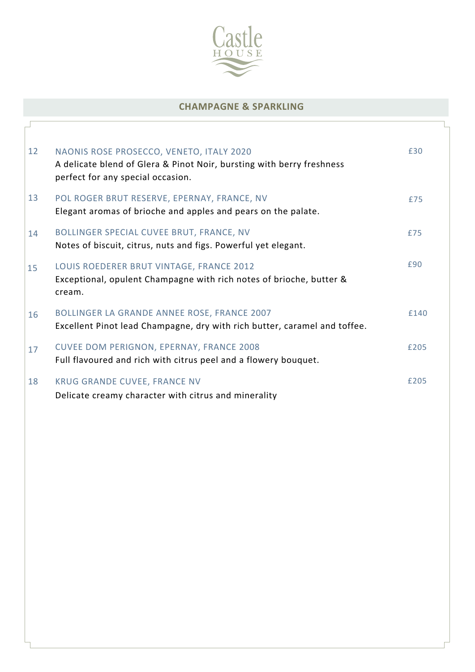

### **CHAMPAGNE & SPARKLING**

| 12 | NAONIS ROSE PROSECCO, VENETO, ITALY 2020<br>A delicate blend of Glera & Pinot Noir, bursting with berry freshness<br>perfect for any special occasion. | £30  |
|----|--------------------------------------------------------------------------------------------------------------------------------------------------------|------|
| 13 | POL ROGER BRUT RESERVE, EPERNAY, FRANCE, NV<br>Elegant aromas of brioche and apples and pears on the palate.                                           | £75  |
| 14 | BOLLINGER SPECIAL CUVEE BRUT, FRANCE, NV<br>Notes of biscuit, citrus, nuts and figs. Powerful yet elegant.                                             | £75  |
| 15 | LOUIS ROEDERER BRUT VINTAGE, FRANCE 2012<br>Exceptional, opulent Champagne with rich notes of brioche, butter &<br>cream.                              | £90  |
| 16 | <b>BOLLINGER LA GRANDE ANNEE ROSE, FRANCE 2007</b><br>Excellent Pinot lead Champagne, dry with rich butter, caramel and toffee.                        | £140 |
| 17 | CUVEE DOM PERIGNON, EPERNAY, FRANCE 2008<br>Full flavoured and rich with citrus peel and a flowery bouquet.                                            | £205 |
| 18 | <b>KRUG GRANDE CUVEE, FRANCE NV</b><br>Delicate creamy character with citrus and minerality                                                            | £205 |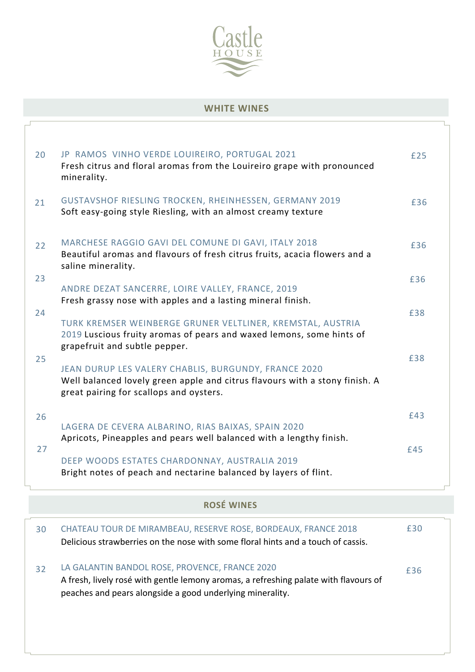

### **WHITE WINES**

| 20 | JP RAMOS VINHO VERDE LOUIREIRO, PORTUGAL 2021<br>Fresh citrus and floral aromas from the Louireiro grape with pronounced<br>minerality.                                        | £25 |
|----|--------------------------------------------------------------------------------------------------------------------------------------------------------------------------------|-----|
| 21 | GUSTAVSHOF RIESLING TROCKEN, RHEINHESSEN, GERMANY 2019<br>Soft easy-going style Riesling, with an almost creamy texture                                                        | £36 |
| 22 | MARCHESE RAGGIO GAVI DEL COMUNE DI GAVI, ITALY 2018<br>Beautiful aromas and flavours of fresh citrus fruits, acacia flowers and a<br>saline minerality.                        | £36 |
| 23 | ANDRE DEZAT SANCERRE, LOIRE VALLEY, FRANCE, 2019<br>Fresh grassy nose with apples and a lasting mineral finish.                                                                | £36 |
| 24 | TURK KREMSER WEINBERGE GRUNER VELTLINER, KREMSTAL, AUSTRIA<br>2019 Luscious fruity aromas of pears and waxed lemons, some hints of<br>grapefruit and subtle pepper.            | £38 |
| 25 | JEAN DURUP LES VALERY CHABLIS, BURGUNDY, FRANCE 2020<br>Well balanced lovely green apple and citrus flavours with a stony finish. A<br>great pairing for scallops and oysters. | £38 |
| 26 | LAGERA DE CEVERA ALBARINO, RIAS BAIXAS, SPAIN 2020<br>Apricots, Pineapples and pears well balanced with a lengthy finish.                                                      | £43 |
| 27 | DEEP WOODS ESTATES CHARDONNAY, AUSTRALIA 2019<br>Bright notes of peach and nectarine balanced by layers of flint.                                                              | £45 |

**ROSÉ WINES**

| 30 | CHATEAU TOUR DE MIRAMBEAU, RESERVE ROSE, BORDEAUX, FRANCE 2018<br>Delicious strawberries on the nose with some floral hints and a touch of cassis.                                                  | £30 |
|----|-----------------------------------------------------------------------------------------------------------------------------------------------------------------------------------------------------|-----|
| 32 | LA GALANTIN BANDOL ROSE, PROVENCE, FRANCE 2020<br>A fresh, lively rosé with gentle lemony aromas, a refreshing palate with flavours of<br>peaches and pears alongside a good underlying minerality. | £36 |
|    |                                                                                                                                                                                                     |     |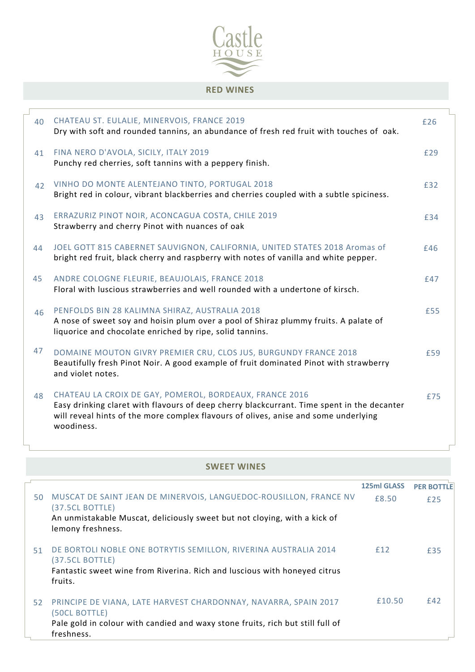

### **RED WINES**

| 40 | CHATEAU ST. EULALIE, MINERVOIS, FRANCE 2019<br>Dry with soft and rounded tannins, an abundance of fresh red fruit with touches of oak.                                                                                                                     | £26 |
|----|------------------------------------------------------------------------------------------------------------------------------------------------------------------------------------------------------------------------------------------------------------|-----|
| 41 | FINA NERO D'AVOLA, SICILY, ITALY 2019<br>Punchy red cherries, soft tannins with a peppery finish.                                                                                                                                                          | £29 |
| 42 | VINHO DO MONTE ALENTEJANO TINTO, PORTUGAL 2018<br>Bright red in colour, vibrant blackberries and cherries coupled with a subtle spiciness.                                                                                                                 | £32 |
| 43 | ERRAZURIZ PINOT NOIR, ACONCAGUA COSTA, CHILE 2019<br>Strawberry and cherry Pinot with nuances of oak                                                                                                                                                       | £34 |
| 44 | JOEL GOTT 815 CABERNET SAUVIGNON, CALIFORNIA, UNITED STATES 2018 Aromas of<br>bright red fruit, black cherry and raspberry with notes of vanilla and white pepper.                                                                                         | £46 |
| 45 | ANDRE COLOGNE FLEURIE, BEAUJOLAIS, FRANCE 2018<br>Floral with luscious strawberries and well rounded with a undertone of kirsch.                                                                                                                           | £47 |
| 46 | PENFOLDS BIN 28 KALIMNA SHIRAZ, AUSTRALIA 2018<br>A nose of sweet soy and hoisin plum over a pool of Shiraz plummy fruits. A palate of<br>liquorice and chocolate enriched by ripe, solid tannins.                                                         | £55 |
| 47 | DOMAINE MOUTON GIVRY PREMIER CRU, CLOS JUS, BURGUNDY FRANCE 2018<br>Beautifully fresh Pinot Noir. A good example of fruit dominated Pinot with strawberry<br>and violet notes.                                                                             | £59 |
| 48 | CHATEAU LA CROIX DE GAY, POMEROL, BORDEAUX, FRANCE 2016<br>Easy drinking claret with flavours of deep cherry blackcurrant. Time spent in the decanter<br>will reveal hints of the more complex flavours of olives, anise and some underlying<br>woodiness. | £75 |

#### **SWEET WINES**

|    |                                                                                                | 125ml GLASS | <b>PER BOTTLE</b> |
|----|------------------------------------------------------------------------------------------------|-------------|-------------------|
| 50 | MUSCAT DE SAINT JEAN DE MINERVOIS, LANGUEDOC-ROUSILLON, FRANCE NV<br>(37.5CL BOTTLE)           | £8.50       | £25               |
|    | An unmistakable Muscat, deliciously sweet but not cloying, with a kick of<br>lemony freshness. |             |                   |
| 51 | DE BORTOLI NOBLE ONE BOTRYTIS SEMILLON, RIVERINA AUSTRALIA 2014<br>(37.5CL BOTTLE)             | £12         | £35               |
|    | Fantastic sweet wine from Riverina. Rich and luscious with honeyed citrus<br>fruits.           |             |                   |
| 52 | PRINCIPE DE VIANA, LATE HARVEST CHARDONNAY, NAVARRA, SPAIN 2017<br>(50CL BOTTLE)               | £10.50      | f42               |
|    | Pale gold in colour with candied and waxy stone fruits, rich but still full of<br>freshness.   |             |                   |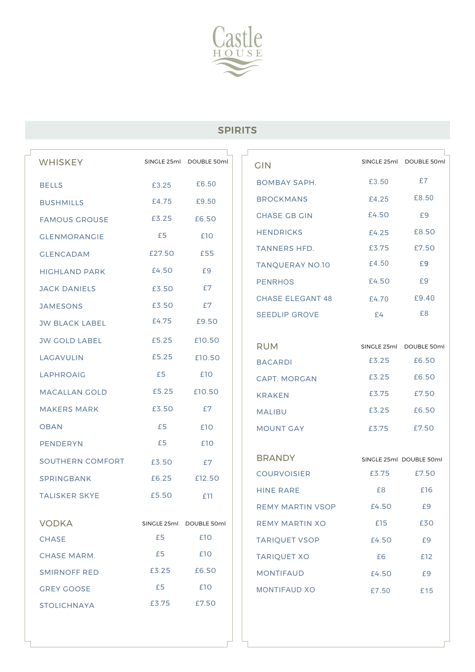

## SPIRITS

| <b>WHISKEY</b>        | SINGLE 25ml | DOUBLE 50ml             | <b>GIN</b>              |                | SINGLE 25ml DOUBLE 50ml |
|-----------------------|-------------|-------------------------|-------------------------|----------------|-------------------------|
| <b>BELLS</b>          | £3.25       | £6.50                   | <b>BOMBAY SAPH.</b>     | £3.50          | £7                      |
| <b>BUSHMILLS</b>      | £4.75       | £9.50                   | <b>BROCKMANS</b>        | £4.25          | £8.50                   |
| <b>FAMOUS GROUSE</b>  | £3.25       | £6.50                   | <b>CHASE GB GIN</b>     | £4.50          | £9                      |
| <b>GLENMORANGIE</b>   | £5          | £10                     | <b>HENDRICKS</b>        | £4.25          | £8.50                   |
| <b>GLENCADAM</b>      | £27.50      | £55                     | <b>TANNERS HFD.</b>     | £3.75          | £7.50                   |
| <b>HIGHLAND PARK</b>  | £4.50       | £9                      | <b>TANQUERAY NO.10</b>  | £4.50          | £9                      |
| <b>JACK DANIELS</b>   | £3.50       | £7                      | <b>PENRHOS</b>          | £4.50          | £9                      |
| <b>JAMESONS</b>       | £3.50       | £7                      | <b>CHASE ELEGANT 48</b> | £4.70          | £9.40                   |
| <b>JW BLACK LABEL</b> | £4.75       | £9.50                   | <b>SEEDLIP GROVE</b>    | £4             | £8                      |
| <b>JW GOLD LABEL</b>  | £5.25       | £10.50                  |                         |                |                         |
| <b>LAGAVULIN</b>      | £5.25       | £10.50                  | <b>RUM</b>              |                | SINGLE 25ml DOUBLE 50ml |
| <b>LAPHROAIG</b>      | £5          | £10                     | <b>BACARDI</b>          | £3.25          | £6.50                   |
| <b>MACALLAN GOLD</b>  | £5.25       | £10.50                  | <b>CAPT. MORGAN</b>     | £3.25<br>£3.75 | £6.50<br>£7.50          |
| <b>MAKERS MARK</b>    | £3.50       | £7                      | <b>KRAKEN</b>           |                | £6.50                   |
| <b>OBAN</b>           | £5          |                         | <b>MALIBU</b>           | £3.25          |                         |
|                       | £5          | £10<br>£10              | <b>MOUNT GAY</b>        | £3.75          | £7.50                   |
| <b>PENDERYN</b>       |             |                         | <b>BRANDY</b>           |                | SINGLE 25ml DOUBLE 50ml |
| SOUTHERN COMFORT      | £3.50       | £7                      | <b>COURVOISIER</b>      | £3.75          | £7.50                   |
| <b>SPRINGBANK</b>     | £6.25       | £12.50                  | <b>HINE RARE</b>        | £8             | £16                     |
| <b>TALISKER SKYE</b>  | £5.50       | £11                     | REMY MARTIN VSOP        | £4.50          | £9                      |
| <b>VODKA</b>          |             | SINGLE 25ml DOUBLE 50ml | <b>REMY MARTIN XO</b>   | £15            | £30                     |
| CHASE                 | £5          | £10                     | <b>TARIQUET VSOP</b>    | £4.50          | £9                      |
| <b>CHASE MARM.</b>    | £5          | £10                     | <b>TARIQUET XO</b>      | £6             | £12                     |
| <b>SMIRNOFF RED</b>   | £3.25       | £6.50                   | <b>MONTIFAUD</b>        | £4.50          | £9                      |
| <b>GREY GOOSE</b>     | £5          | £10                     | MONTIFAUD XO            | £7.50          | £15                     |
| <b>STOLICHNAYA</b>    | £3.75       | £7.50                   |                         |                |                         |
|                       |             |                         |                         |                |                         |